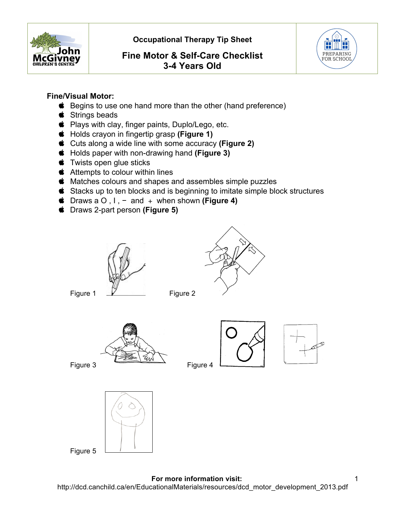

 **Occupational Therapy Tip Sheet** 

# **Fine Motor & Self-Care Checklist 3-4 Years Old**



### **Fine/Visual Motor:**

- **■** Begins to use one hand more than the other (hand preference)
- $\bullet$  Strings beads
- Plays with clay, finger paints, Duplo/Lego, etc.
- Holds crayon in fingertip grasp **(Figure 1)**
- Cuts along a wide line with some accuracy **(Figure 2)**
- Holds paper with non-drawing hand **(Figure 3)**
- $\bullet$  Twists open glue sticks
- **t** Attempts to colour within lines
- $\bullet$  Matches colours and shapes and assembles simple puzzles
- **Stacks up to ten blocks and is beginning to imitate simple block structures**
- Draws a O , I , − and + when shown **(Figure 4)**
- Draws 2-part person **(Figure 5)**





Figure 1 V Figure 2



Figure 5